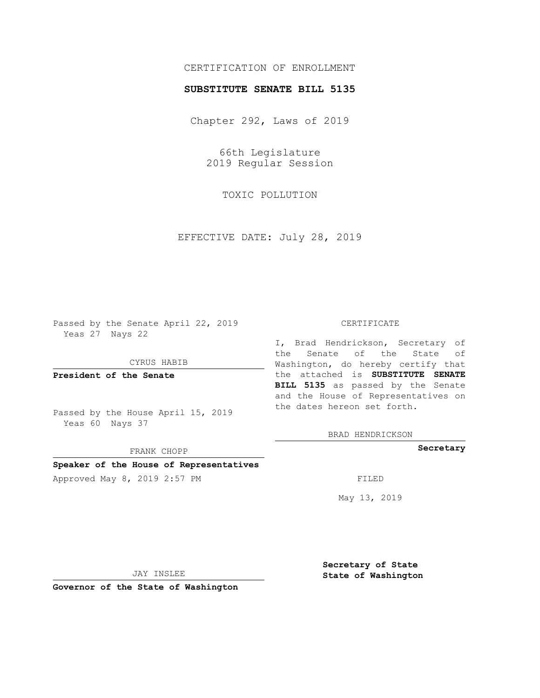## CERTIFICATION OF ENROLLMENT

## **SUBSTITUTE SENATE BILL 5135**

Chapter 292, Laws of 2019

66th Legislature 2019 Regular Session

TOXIC POLLUTION

EFFECTIVE DATE: July 28, 2019

Passed by the Senate April 22, 2019 Yeas 27 Nays 22

CYRUS HABIB

**President of the Senate**

Passed by the House April 15, 2019 Yeas 60 Nays 37

FRANK CHOPP

**Speaker of the House of Representatives**

Approved May 8, 2019 2:57 PM

#### CERTIFICATE

I, Brad Hendrickson, Secretary of the Senate of the State of Washington, do hereby certify that the attached is **SUBSTITUTE SENATE BILL 5135** as passed by the Senate and the House of Representatives on the dates hereon set forth.

BRAD HENDRICKSON

**Secretary**

May 13, 2019

JAY INSLEE

**Governor of the State of Washington**

**Secretary of State State of Washington**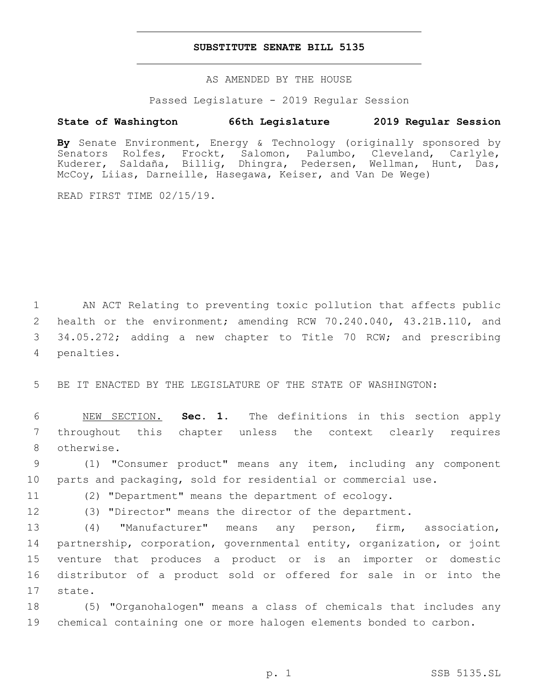### **SUBSTITUTE SENATE BILL 5135**

AS AMENDED BY THE HOUSE

Passed Legislature - 2019 Regular Session

# **State of Washington 66th Legislature 2019 Regular Session**

**By** Senate Environment, Energy & Technology (originally sponsored by Senators Rolfes, Frockt, Salomon, Palumbo, Cleveland, Carlyle, Kuderer, Saldaña, Billig, Dhingra, Pedersen, Wellman, Hunt, Das, McCoy, Liias, Darneille, Hasegawa, Keiser, and Van De Wege)

READ FIRST TIME 02/15/19.

1 AN ACT Relating to preventing toxic pollution that affects public 2 health or the environment; amending RCW 70.240.040, 43.21B.110, and 3 34.05.272; adding a new chapter to Title 70 RCW; and prescribing 4 penalties.

5 BE IT ENACTED BY THE LEGISLATURE OF THE STATE OF WASHINGTON:

6 NEW SECTION. **Sec. 1.** The definitions in this section apply 7 throughout this chapter unless the context clearly requires 8 otherwise.

9 (1) "Consumer product" means any item, including any component 10 parts and packaging, sold for residential or commercial use.

11 (2) "Department" means the department of ecology.

12 (3) "Director" means the director of the department.

 (4) "Manufacturer" means any person, firm, association, partnership, corporation, governmental entity, organization, or joint venture that produces a product or is an importer or domestic distributor of a product sold or offered for sale in or into the 17 state.

18 (5) "Organohalogen" means a class of chemicals that includes any 19 chemical containing one or more halogen elements bonded to carbon.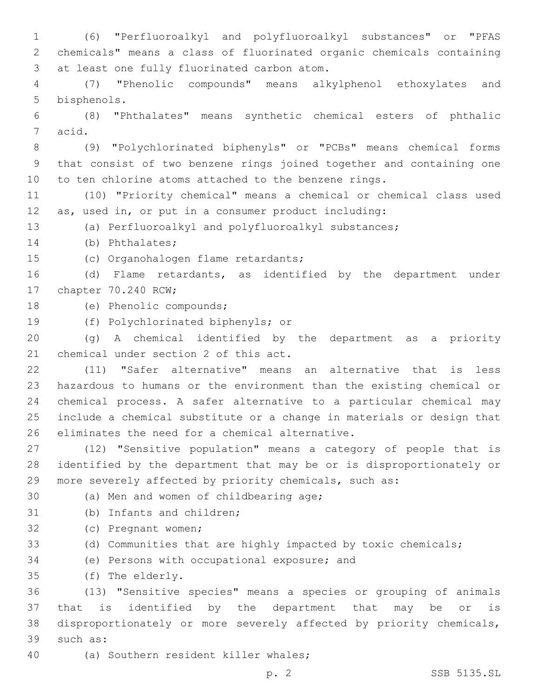1 (6) "Perfluoroalkyl and polyfluoroalkyl substances" or "PFAS 2 chemicals" means a class of fluorinated organic chemicals containing 3 at least one fully fluorinated carbon atom. 4 (7) "Phenolic compounds" means alkylphenol ethoxylates and 5 bisphenols. 6 (8) "Phthalates" means synthetic chemical esters of phthalic 7 acid. 8 (9) "Polychlorinated biphenyls" or "PCBs" means chemical forms 9 that consist of two benzene rings joined together and containing one 10 to ten chlorine atoms attached to the benzene rings. 11 (10) "Priority chemical" means a chemical or chemical class used 12 as, used in, or put in a consumer product including: 13 (a) Perfluoroalkyl and polyfluoroalkyl substances; 14 (b) Phthalates; 15 (c) Organohalogen flame retardants; 16 (d) Flame retardants, as identified by the department under 17 chapter 70.240 RCW; 18 (e) Phenolic compounds; 19 (f) Polychlorinated biphenyls; or 20 (g) A chemical identified by the department as a priority 21 chemical under section 2 of this act. 22 (11) "Safer alternative" means an alternative that is less 23 hazardous to humans or the environment than the existing chemical or 24 chemical process. A safer alternative to a particular chemical may 25 include a chemical substitute or a change in materials or design that 26 eliminates the need for a chemical alternative. 27 (12) "Sensitive population" means a category of people that is 28 identified by the department that may be or is disproportionately or 29 more severely affected by priority chemicals, such as: 30 (a) Men and women of childbearing age; 31 (b) Infants and children; 32 (c) Pregnant women; 33 (d) Communities that are highly impacted by toxic chemicals; 34 (e) Persons with occupational exposure; and (f) The elderly.35 36 (13) "Sensitive species" means a species or grouping of animals 37 that is identified by the department that may be or is 38 disproportionately or more severely affected by priority chemicals, 39 such as:

40 (a) Southern resident killer whales;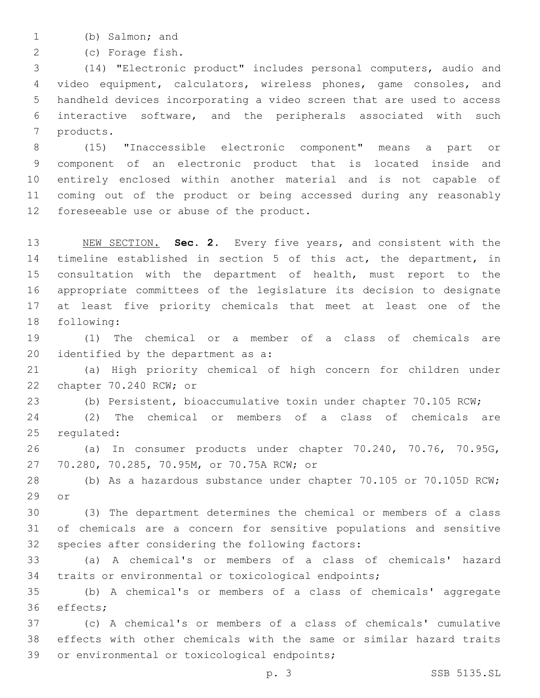1 (b) Salmon; and

(c) Forage fish.2

 (14) "Electronic product" includes personal computers, audio and video equipment, calculators, wireless phones, game consoles, and handheld devices incorporating a video screen that are used to access interactive software, and the peripherals associated with such 7 products.

 (15) "Inaccessible electronic component" means a part or component of an electronic product that is located inside and entirely enclosed within another material and is not capable of coming out of the product or being accessed during any reasonably 12 foreseeable use or abuse of the product.

 NEW SECTION. **Sec. 2.** Every five years, and consistent with the timeline established in section 5 of this act, the department, in consultation with the department of health, must report to the appropriate committees of the legislature its decision to designate at least five priority chemicals that meet at least one of the following:

 (1) The chemical or a member of a class of chemicals are 20 identified by the department as a:

 (a) High priority chemical of high concern for children under 22 chapter 70.240 RCW; or

(b) Persistent, bioaccumulative toxin under chapter 70.105 RCW;

 (2) The chemical or members of a class of chemicals are 25 requlated:

 (a) In consumer products under chapter 70.240, 70.76, 70.95G, 27 70.280, 70.285, 70.95M, or 70.75A RCW; or

 (b) As a hazardous substance under chapter 70.105 or 70.105D RCW; or

 (3) The department determines the chemical or members of a class of chemicals are a concern for sensitive populations and sensitive 32 species after considering the following factors:

 (a) A chemical's or members of a class of chemicals' hazard traits or environmental or toxicological endpoints;

 (b) A chemical's or members of a class of chemicals' aggregate 36 effects;

 (c) A chemical's or members of a class of chemicals' cumulative effects with other chemicals with the same or similar hazard traits 39 or environmental or toxicological endpoints;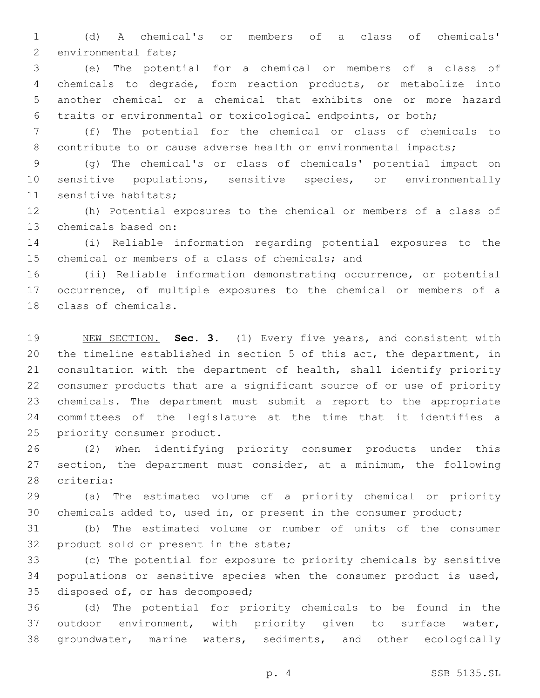(d) A chemical's or members of a class of chemicals' 2 environmental fate;

 (e) The potential for a chemical or members of a class of chemicals to degrade, form reaction products, or metabolize into another chemical or a chemical that exhibits one or more hazard traits or environmental or toxicological endpoints, or both;

 (f) The potential for the chemical or class of chemicals to 8 contribute to or cause adverse health or environmental impacts;

 (g) The chemical's or class of chemicals' potential impact on sensitive populations, sensitive species, or environmentally 11 sensitive habitats;

 (h) Potential exposures to the chemical or members of a class of 13 chemicals based on:

 (i) Reliable information regarding potential exposures to the 15 chemical or members of a class of chemicals; and

 (ii) Reliable information demonstrating occurrence, or potential occurrence, of multiple exposures to the chemical or members of a 18 class of chemicals.

 NEW SECTION. **Sec. 3.** (1) Every five years, and consistent with the timeline established in section 5 of this act, the department, in consultation with the department of health, shall identify priority consumer products that are a significant source of or use of priority chemicals. The department must submit a report to the appropriate committees of the legislature at the time that it identifies a priority consumer product.

 (2) When identifying priority consumer products under this section, the department must consider, at a minimum, the following 28 criteria:

 (a) The estimated volume of a priority chemical or priority 30 chemicals added to, used in, or present in the consumer product;

 (b) The estimated volume or number of units of the consumer 32 product sold or present in the state;

 (c) The potential for exposure to priority chemicals by sensitive populations or sensitive species when the consumer product is used, 35 disposed of, or has decomposed;

 (d) The potential for priority chemicals to be found in the outdoor environment, with priority given to surface water, groundwater, marine waters, sediments, and other ecologically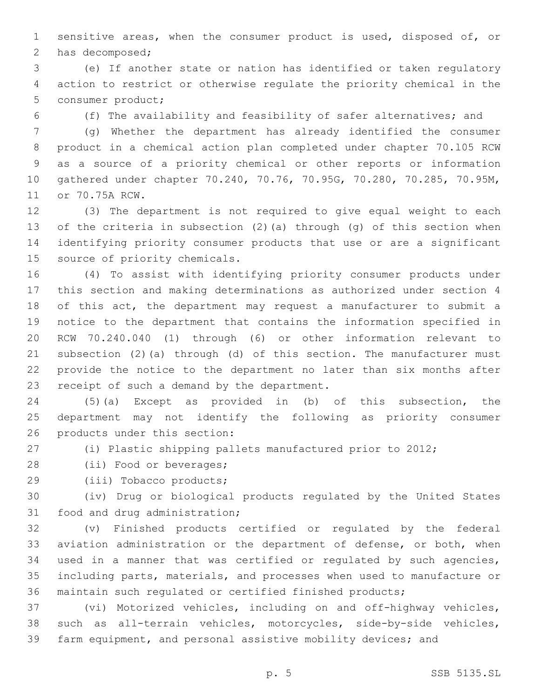sensitive areas, when the consumer product is used, disposed of, or 2 has decomposed;

 (e) If another state or nation has identified or taken regulatory action to restrict or otherwise regulate the priority chemical in the 5 consumer product;

(f) The availability and feasibility of safer alternatives; and

 (g) Whether the department has already identified the consumer product in a chemical action plan completed under chapter 70.l05 RCW as a source of a priority chemical or other reports or information gathered under chapter 70.240, 70.76, 70.95G, 70.280, 70.285, 70.95M, 11 or 70.75A RCW.

 (3) The department is not required to give equal weight to each of the criteria in subsection (2)(a) through (g) of this section when identifying priority consumer products that use or are a significant 15 source of priority chemicals.

 (4) To assist with identifying priority consumer products under this section and making determinations as authorized under section 4 of this act, the department may request a manufacturer to submit a notice to the department that contains the information specified in RCW 70.240.040 (1) through (6) or other information relevant to subsection (2)(a) through (d) of this section. The manufacturer must provide the notice to the department no later than six months after 23 receipt of such a demand by the department.

 (5)(a) Except as provided in (b) of this subsection, the department may not identify the following as priority consumer 26 products under this section:

(i) Plastic shipping pallets manufactured prior to 2012;

28 (ii) Food or beverages;

29 (iii) Tobacco products;

 (iv) Drug or biological products regulated by the United States 31 food and drug administration;

 (v) Finished products certified or regulated by the federal aviation administration or the department of defense, or both, when used in a manner that was certified or regulated by such agencies, including parts, materials, and processes when used to manufacture or maintain such regulated or certified finished products;

 (vi) Motorized vehicles, including on and off-highway vehicles, such as all-terrain vehicles, motorcycles, side-by-side vehicles, farm equipment, and personal assistive mobility devices; and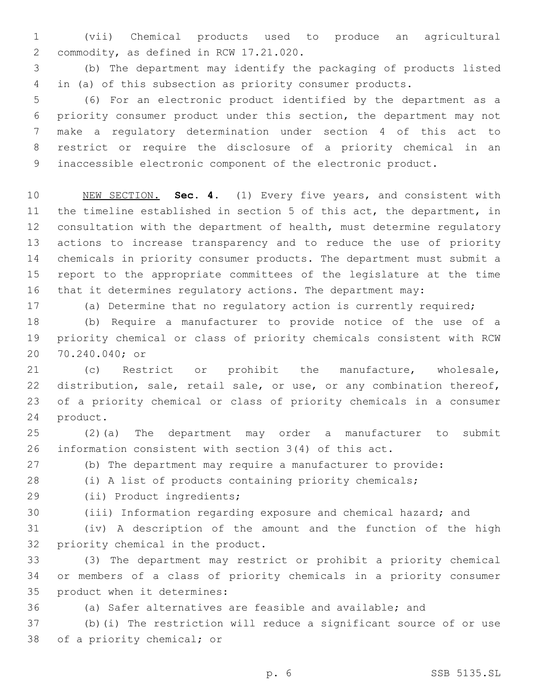(vii) Chemical products used to produce an agricultural 2 commodity, as defined in RCW 17.21.020.

 (b) The department may identify the packaging of products listed in (a) of this subsection as priority consumer products.

 (6) For an electronic product identified by the department as a priority consumer product under this section, the department may not make a regulatory determination under section 4 of this act to restrict or require the disclosure of a priority chemical in an inaccessible electronic component of the electronic product.

 NEW SECTION. **Sec. 4.** (1) Every five years, and consistent with the timeline established in section 5 of this act, the department, in consultation with the department of health, must determine regulatory actions to increase transparency and to reduce the use of priority chemicals in priority consumer products. The department must submit a report to the appropriate committees of the legislature at the time that it determines regulatory actions. The department may:

(a) Determine that no regulatory action is currently required;

 (b) Require a manufacturer to provide notice of the use of a priority chemical or class of priority chemicals consistent with RCW 20 70.240.040; or

 (c) Restrict or prohibit the manufacture, wholesale, distribution, sale, retail sale, or use, or any combination thereof, of a priority chemical or class of priority chemicals in a consumer 24 product.

 (2)(a) The department may order a manufacturer to submit information consistent with section 3(4) of this act.

(b) The department may require a manufacturer to provide:

(i) A list of products containing priority chemicals;

29 (ii) Product ingredients;

(iii) Information regarding exposure and chemical hazard; and

 (iv) A description of the amount and the function of the high 32 priority chemical in the product.

 (3) The department may restrict or prohibit a priority chemical or members of a class of priority chemicals in a priority consumer 35 product when it determines:

(a) Safer alternatives are feasible and available; and

 (b)(i) The restriction will reduce a significant source of or use 38 of a priority chemical; or

p. 6 SSB 5135.SL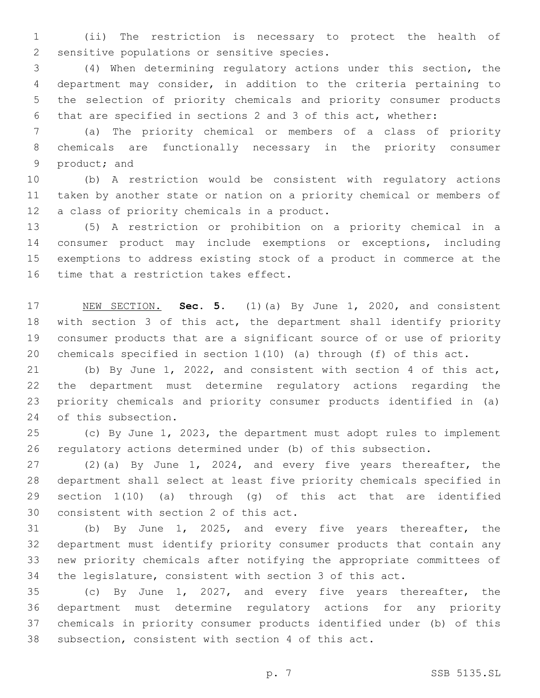(ii) The restriction is necessary to protect the health of 2 sensitive populations or sensitive species.

 (4) When determining regulatory actions under this section, the department may consider, in addition to the criteria pertaining to the selection of priority chemicals and priority consumer products that are specified in sections 2 and 3 of this act, whether:

 (a) The priority chemical or members of a class of priority chemicals are functionally necessary in the priority consumer 9 product; and

 (b) A restriction would be consistent with regulatory actions taken by another state or nation on a priority chemical or members of 12 a class of priority chemicals in a product.

 (5) A restriction or prohibition on a priority chemical in a consumer product may include exemptions or exceptions, including exemptions to address existing stock of a product in commerce at the 16 time that a restriction takes effect.

 NEW SECTION. **Sec. 5.** (1)(a) By June 1, 2020, and consistent with section 3 of this act, the department shall identify priority consumer products that are a significant source of or use of priority chemicals specified in section 1(10) (a) through (f) of this act.

 (b) By June 1, 2022, and consistent with section 4 of this act, the department must determine regulatory actions regarding the priority chemicals and priority consumer products identified in (a) 24 of this subsection.

 (c) By June 1, 2023, the department must adopt rules to implement regulatory actions determined under (b) of this subsection.

 (2)(a) By June 1, 2024, and every five years thereafter, the department shall select at least five priority chemicals specified in section 1(10) (a) through (g) of this act that are identified 30 consistent with section 2 of this act.

 (b) By June 1, 2025, and every five years thereafter, the department must identify priority consumer products that contain any new priority chemicals after notifying the appropriate committees of the legislature, consistent with section 3 of this act.

 (c) By June 1, 2027, and every five years thereafter, the department must determine regulatory actions for any priority chemicals in priority consumer products identified under (b) of this subsection, consistent with section 4 of this act.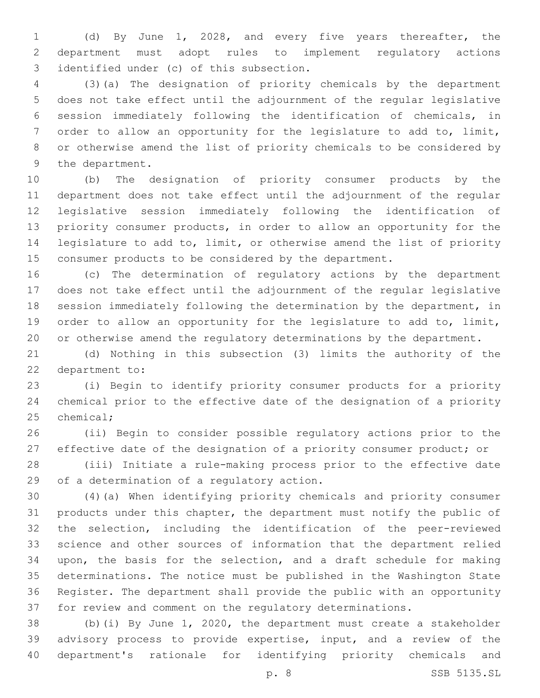(d) By June 1, 2028, and every five years thereafter, the department must adopt rules to implement regulatory actions 3 identified under (c) of this subsection.

 (3)(a) The designation of priority chemicals by the department does not take effect until the adjournment of the regular legislative session immediately following the identification of chemicals, in order to allow an opportunity for the legislature to add to, limit, or otherwise amend the list of priority chemicals to be considered by 9 the department.

 (b) The designation of priority consumer products by the department does not take effect until the adjournment of the regular legislative session immediately following the identification of priority consumer products, in order to allow an opportunity for the legislature to add to, limit, or otherwise amend the list of priority consumer products to be considered by the department.

 (c) The determination of regulatory actions by the department does not take effect until the adjournment of the regular legislative session immediately following the determination by the department, in order to allow an opportunity for the legislature to add to, limit, or otherwise amend the regulatory determinations by the department.

 (d) Nothing in this subsection (3) limits the authority of the 22 department to:

 (i) Begin to identify priority consumer products for a priority chemical prior to the effective date of the designation of a priority 25 chemical;

 (ii) Begin to consider possible regulatory actions prior to the 27 effective date of the designation of a priority consumer product; or

 (iii) Initiate a rule-making process prior to the effective date 29 of a determination of a regulatory action.

 (4)(a) When identifying priority chemicals and priority consumer products under this chapter, the department must notify the public of the selection, including the identification of the peer-reviewed science and other sources of information that the department relied upon, the basis for the selection, and a draft schedule for making determinations. The notice must be published in the Washington State Register. The department shall provide the public with an opportunity for review and comment on the regulatory determinations.

 (b)(i) By June 1, 2020, the department must create a stakeholder advisory process to provide expertise, input, and a review of the department's rationale for identifying priority chemicals and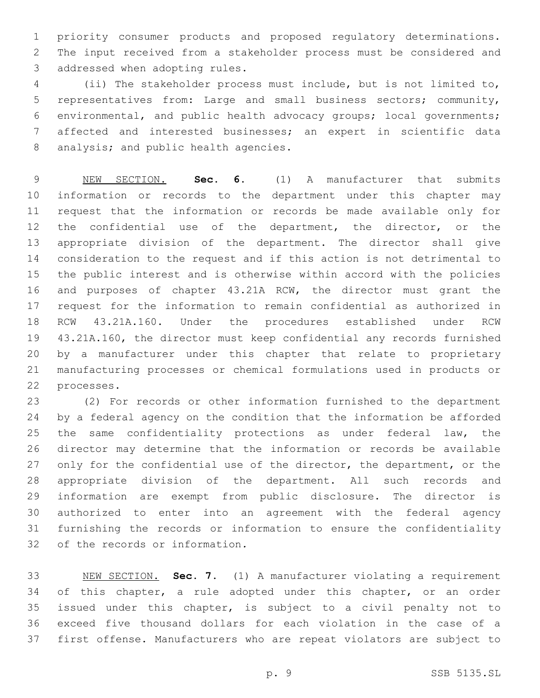priority consumer products and proposed regulatory determinations. The input received from a stakeholder process must be considered and 3 addressed when adopting rules.

 (ii) The stakeholder process must include, but is not limited to, representatives from: Large and small business sectors; community, environmental, and public health advocacy groups; local governments; affected and interested businesses; an expert in scientific data 8 analysis; and public health agencies.

 NEW SECTION. **Sec. 6.** (1) A manufacturer that submits information or records to the department under this chapter may request that the information or records be made available only for 12 the confidential use of the department, the director, or the appropriate division of the department. The director shall give consideration to the request and if this action is not detrimental to the public interest and is otherwise within accord with the policies and purposes of chapter 43.21A RCW, the director must grant the request for the information to remain confidential as authorized in RCW 43.21A.160. Under the procedures established under RCW 43.21A.160, the director must keep confidential any records furnished by a manufacturer under this chapter that relate to proprietary manufacturing processes or chemical formulations used in products or processes.

 (2) For records or other information furnished to the department by a federal agency on the condition that the information be afforded 25 the same confidentiality protections as under federal law, the director may determine that the information or records be available 27 only for the confidential use of the director, the department, or the appropriate division of the department. All such records and information are exempt from public disclosure. The director is authorized to enter into an agreement with the federal agency furnishing the records or information to ensure the confidentiality of the records or information*.*

 NEW SECTION. **Sec. 7.** (1) A manufacturer violating a requirement of this chapter, a rule adopted under this chapter, or an order issued under this chapter, is subject to a civil penalty not to exceed five thousand dollars for each violation in the case of a first offense. Manufacturers who are repeat violators are subject to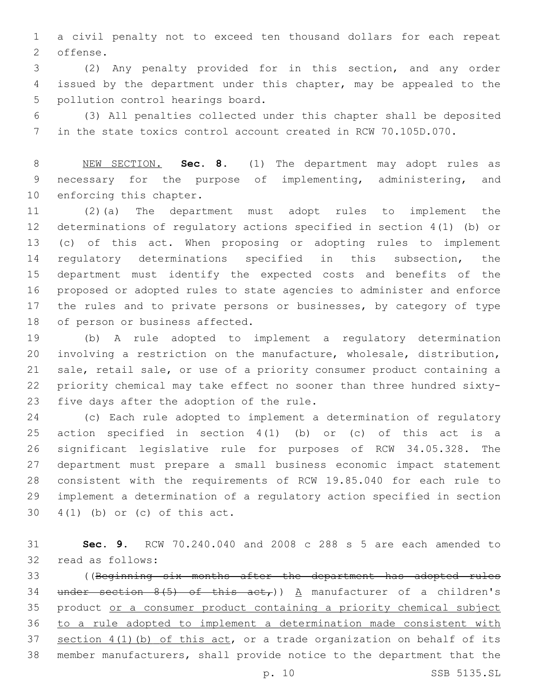a civil penalty not to exceed ten thousand dollars for each repeat 2 offense.

 (2) Any penalty provided for in this section, and any order issued by the department under this chapter, may be appealed to the 5 pollution control hearings board.

 (3) All penalties collected under this chapter shall be deposited in the state toxics control account created in RCW 70.105D.070.

 NEW SECTION. **Sec. 8.** (1) The department may adopt rules as necessary for the purpose of implementing, administering, and enforcing this chapter.

 (2)(a) The department must adopt rules to implement the determinations of regulatory actions specified in section 4(1) (b) or (c) of this act. When proposing or adopting rules to implement regulatory determinations specified in this subsection, the department must identify the expected costs and benefits of the proposed or adopted rules to state agencies to administer and enforce 17 the rules and to private persons or businesses, by category of type 18 of person or business affected.

 (b) A rule adopted to implement a regulatory determination involving a restriction on the manufacture, wholesale, distribution, sale, retail sale, or use of a priority consumer product containing a priority chemical may take effect no sooner than three hundred sixty-23 five days after the adoption of the rule.

 (c) Each rule adopted to implement a determination of regulatory action specified in section 4(1) (b) or (c) of this act is a significant legislative rule for purposes of RCW 34.05.328. The department must prepare a small business economic impact statement consistent with the requirements of RCW 19.85.040 for each rule to implement a determination of a regulatory action specified in section  $4(1)$  (b) or (c) of this act.

 **Sec. 9.** RCW 70.240.040 and 2008 c 288 s 5 are each amended to 32 read as follows:

 ((Beginning six months after the department has adopted rules 34 under section  $8(5)$  of this act,)) A manufacturer of a children's product or a consumer product containing a priority chemical subject to a rule adopted to implement a determination made consistent with section 4(1)(b) of this act, or a trade organization on behalf of its member manufacturers, shall provide notice to the department that the

p. 10 SSB 5135.SL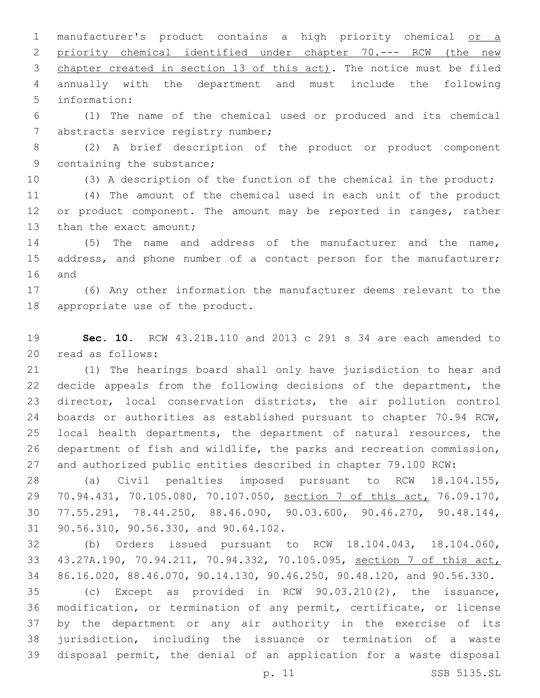manufacturer's product contains a high priority chemical or a priority chemical identified under chapter 70.--- RCW (the new chapter created in section 13 of this act). The notice must be filed annually with the department and must include the following 5 information:

 (1) The name of the chemical used or produced and its chemical 7 abstracts service registry number;

 (2) A brief description of the product or product component 9 containing the substance;

(3) A description of the function of the chemical in the product;

 (4) The amount of the chemical used in each unit of the product 12 or product component. The amount may be reported in ranges, rather 13 than the exact amount;

 (5) The name and address of the manufacturer and the name, 15 address, and phone number of a contact person for the manufacturer; 16 and

 (6) Any other information the manufacturer deems relevant to the 18 appropriate use of the product.

 **Sec. 10.** RCW 43.21B.110 and 2013 c 291 s 34 are each amended to 20 read as follows:

 (1) The hearings board shall only have jurisdiction to hear and decide appeals from the following decisions of the department, the director, local conservation districts, the air pollution control boards or authorities as established pursuant to chapter 70.94 RCW, local health departments, the department of natural resources, the department of fish and wildlife, the parks and recreation commission, and authorized public entities described in chapter 79.100 RCW:

 (a) Civil penalties imposed pursuant to RCW 18.104.155, 70.94.431, 70.105.080, 70.107.050, section 7 of this act, 76.09.170, 77.55.291, 78.44.250, 88.46.090, 90.03.600, 90.46.270, 90.48.144, 31 90.56.310, 90.56.330, and 90.64.102.

 (b) Orders issued pursuant to RCW 18.104.043, 18.104.060, 43.27A.190, 70.94.211, 70.94.332, 70.105.095, section 7 of this act, 86.16.020, 88.46.070, 90.14.130, 90.46.250, 90.48.120, and 90.56.330.

 (c) Except as provided in RCW 90.03.210(2), the issuance, modification, or termination of any permit, certificate, or license by the department or any air authority in the exercise of its jurisdiction, including the issuance or termination of a waste disposal permit, the denial of an application for a waste disposal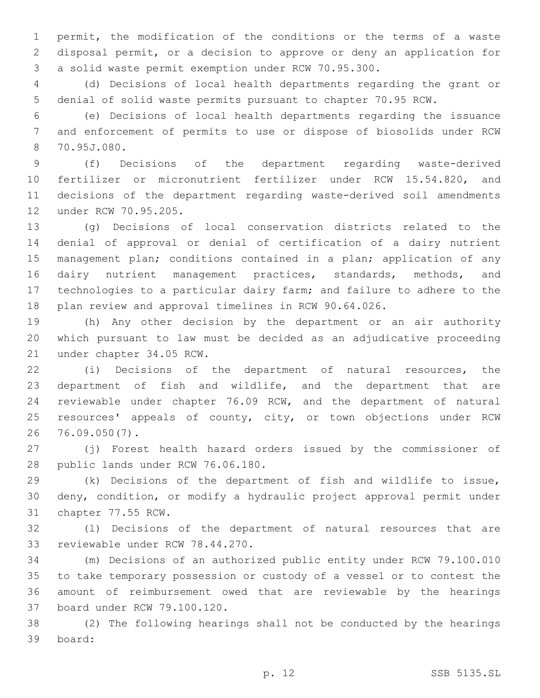permit, the modification of the conditions or the terms of a waste disposal permit, or a decision to approve or deny an application for a solid waste permit exemption under RCW 70.95.300.

 (d) Decisions of local health departments regarding the grant or denial of solid waste permits pursuant to chapter 70.95 RCW.

 (e) Decisions of local health departments regarding the issuance and enforcement of permits to use or dispose of biosolids under RCW 70.95J.080.8

 (f) Decisions of the department regarding waste-derived fertilizer or micronutrient fertilizer under RCW 15.54.820, and decisions of the department regarding waste-derived soil amendments 12 under RCW 70.95.205.

 (g) Decisions of local conservation districts related to the denial of approval or denial of certification of a dairy nutrient 15 management plan; conditions contained in a plan; application of any dairy nutrient management practices, standards, methods, and technologies to a particular dairy farm; and failure to adhere to the plan review and approval timelines in RCW 90.64.026.

 (h) Any other decision by the department or an air authority which pursuant to law must be decided as an adjudicative proceeding 21 under chapter 34.05 RCW.

 (i) Decisions of the department of natural resources, the department of fish and wildlife, and the department that are reviewable under chapter 76.09 RCW, and the department of natural 25 resources' appeals of county, city, or town objections under RCW 76.09.050(7).26

 (j) Forest health hazard orders issued by the commissioner of 28 public lands under RCW 76.06.180.

 (k) Decisions of the department of fish and wildlife to issue, deny, condition, or modify a hydraulic project approval permit under 31 chapter 77.55 RCW.

 (l) Decisions of the department of natural resources that are 33 reviewable under RCW 78.44.270.

 (m) Decisions of an authorized public entity under RCW 79.100.010 to take temporary possession or custody of a vessel or to contest the amount of reimbursement owed that are reviewable by the hearings 37 board under RCW 79.100.120.

 (2) The following hearings shall not be conducted by the hearings board:39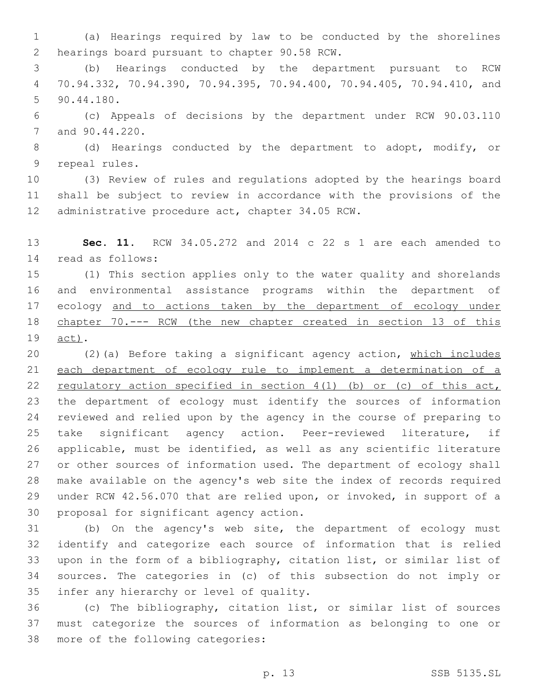(a) Hearings required by law to be conducted by the shorelines 2 hearings board pursuant to chapter 90.58 RCW.

 (b) Hearings conducted by the department pursuant to RCW 70.94.332, 70.94.390, 70.94.395, 70.94.400, 70.94.405, 70.94.410, and 90.44.180.5

 (c) Appeals of decisions by the department under RCW 90.03.110 7 and 90.44.220.

 (d) Hearings conducted by the department to adopt, modify, or 9 repeal rules.

 (3) Review of rules and regulations adopted by the hearings board shall be subject to review in accordance with the provisions of the 12 administrative procedure act, chapter 34.05 RCW.

 **Sec. 11.** RCW 34.05.272 and 2014 c 22 s 1 are each amended to 14 read as follows:

 (1) This section applies only to the water quality and shorelands and environmental assistance programs within the department of ecology and to actions taken by the department of ecology under chapter 70.--- RCW (the new chapter created in section 13 of this 19 act).

 (2)(a) Before taking a significant agency action, which includes each department of ecology rule to implement a determination of a regulatory action specified in section 4(1) (b) or (c) of this act, the department of ecology must identify the sources of information reviewed and relied upon by the agency in the course of preparing to take significant agency action. Peer-reviewed literature, if applicable, must be identified, as well as any scientific literature or other sources of information used. The department of ecology shall make available on the agency's web site the index of records required under RCW 42.56.070 that are relied upon, or invoked, in support of a 30 proposal for significant agency action.

 (b) On the agency's web site, the department of ecology must identify and categorize each source of information that is relied upon in the form of a bibliography, citation list, or similar list of sources. The categories in (c) of this subsection do not imply or 35 infer any hierarchy or level of quality.

 (c) The bibliography, citation list, or similar list of sources must categorize the sources of information as belonging to one or 38 more of the following categories: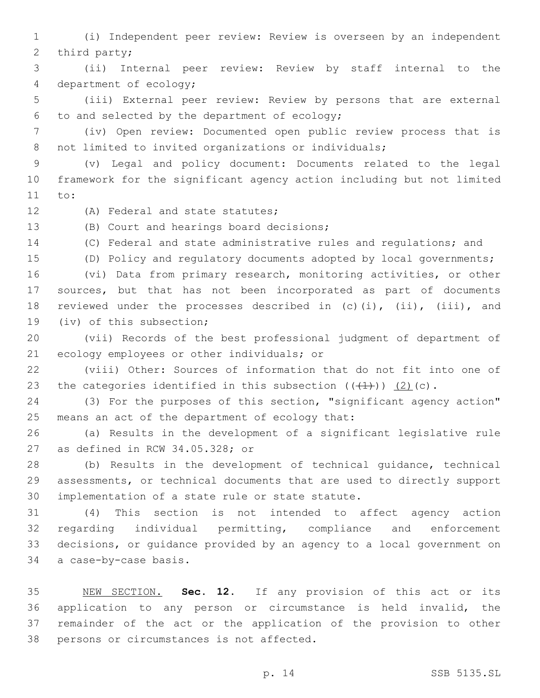(i) Independent peer review: Review is overseen by an independent 2 third party;

 (ii) Internal peer review: Review by staff internal to the 4 department of ecology;

 (iii) External peer review: Review by persons that are external 6 to and selected by the department of ecology;

 (iv) Open review: Documented open public review process that is 8 not limited to invited organizations or individuals;

 (v) Legal and policy document: Documents related to the legal framework for the significant agency action including but not limited 11 to:

12 (A) Federal and state statutes;

13 (B) Court and hearings board decisions;

(C) Federal and state administrative rules and regulations; and

(D) Policy and regulatory documents adopted by local governments;

 (vi) Data from primary research, monitoring activities, or other sources, but that has not been incorporated as part of documents reviewed under the processes described in (c)(i), (ii), (iii), and 19 (iv) of this subsection;

 (vii) Records of the best professional judgment of department of 21 ecology employees or other individuals; or

 (viii) Other: Sources of information that do not fit into one of 23 the categories identified in this subsection  $((+1+)) (2)(c)$ .

 (3) For the purposes of this section, "significant agency action" 25 means an act of the department of ecology that:

 (a) Results in the development of a significant legislative rule 27 as defined in RCW  $34.05.328$ ; or

 (b) Results in the development of technical guidance, technical assessments, or technical documents that are used to directly support 30 implementation of a state rule or state statute.

 (4) This section is not intended to affect agency action regarding individual permitting, compliance and enforcement decisions, or guidance provided by an agency to a local government on 34 a case-by-case basis.

 NEW SECTION. **Sec. 12.** If any provision of this act or its application to any person or circumstance is held invalid, the remainder of the act or the application of the provision to other persons or circumstances is not affected.